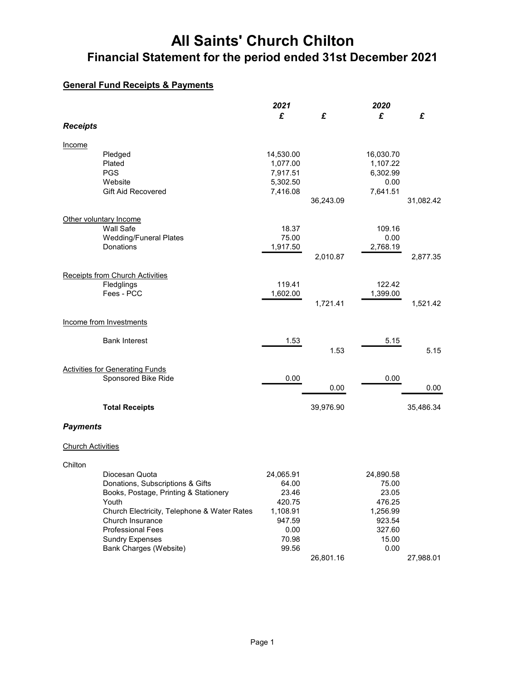## General Fund Receipts & Payments

|                          |                                             | 2021              |           | 2020             |           |
|--------------------------|---------------------------------------------|-------------------|-----------|------------------|-----------|
|                          |                                             | £                 | £         | £                | £         |
| <b>Receipts</b>          |                                             |                   |           |                  |           |
| Income                   |                                             |                   |           |                  |           |
|                          | Pledged                                     | 14,530.00         |           | 16,030.70        |           |
|                          | Plated                                      | 1,077.00          |           | 1,107.22         |           |
|                          | <b>PGS</b>                                  | 7,917.51          |           | 6,302.99         |           |
|                          | Website                                     | 5,302.50          |           | 0.00             |           |
|                          | <b>Gift Aid Recovered</b>                   | 7,416.08          |           | 7,641.51         |           |
|                          |                                             |                   | 36,243.09 |                  | 31,082.42 |
|                          |                                             |                   |           |                  |           |
|                          | Other voluntary Income                      |                   |           |                  |           |
|                          | Wall Safe                                   | 18.37             |           | 109.16           |           |
|                          | <b>Wedding/Funeral Plates</b><br>Donations  | 75.00<br>1,917.50 |           | 0.00<br>2,768.19 |           |
|                          |                                             |                   | 2,010.87  |                  | 2,877.35  |
|                          |                                             |                   |           |                  |           |
|                          | <b>Receipts from Church Activities</b>      |                   |           |                  |           |
|                          | Fledglings                                  | 119.41            |           | 122.42           |           |
|                          | Fees - PCC                                  | 1,602.00          |           | 1,399.00         |           |
|                          |                                             |                   | 1,721.41  |                  | 1,521.42  |
|                          |                                             |                   |           |                  |           |
|                          | Income from Investments                     |                   |           |                  |           |
|                          |                                             |                   |           |                  |           |
|                          | <b>Bank Interest</b>                        | 1.53              |           | 5.15             |           |
|                          |                                             |                   | 1.53      |                  | 5.15      |
|                          | <b>Activities for Generating Funds</b>      |                   |           |                  |           |
|                          | Sponsored Bike Ride                         | 0.00              |           | 0.00             |           |
|                          |                                             |                   | 0.00      |                  | 0.00      |
|                          |                                             |                   |           |                  |           |
|                          | <b>Total Receipts</b>                       |                   | 39,976.90 |                  | 35,486.34 |
|                          |                                             |                   |           |                  |           |
| <b>Payments</b>          |                                             |                   |           |                  |           |
|                          |                                             |                   |           |                  |           |
| <b>Church Activities</b> |                                             |                   |           |                  |           |
| Chilton                  |                                             |                   |           |                  |           |
|                          | Diocesan Quota                              | 24,065.91         |           | 24,890.58        |           |
|                          | Donations, Subscriptions & Gifts            | 64.00             |           | 75.00            |           |
|                          | Books, Postage, Printing & Stationery       | 23.46             |           | 23.05            |           |
|                          | Youth                                       | 420.75            |           | 476.25           |           |
|                          | Church Electricity, Telephone & Water Rates | 1,108.91          |           | 1,256.99         |           |
|                          | Church Insurance                            | 947.59            |           | 923.54           |           |
|                          | <b>Professional Fees</b>                    | 0.00              |           | 327.60           |           |
|                          | <b>Sundry Expenses</b>                      | 70.98             |           | 15.00            |           |
|                          | Bank Charges (Website)                      | 99.56             |           | 0.00             |           |
|                          |                                             |                   | 26,801.16 |                  | 27,988.01 |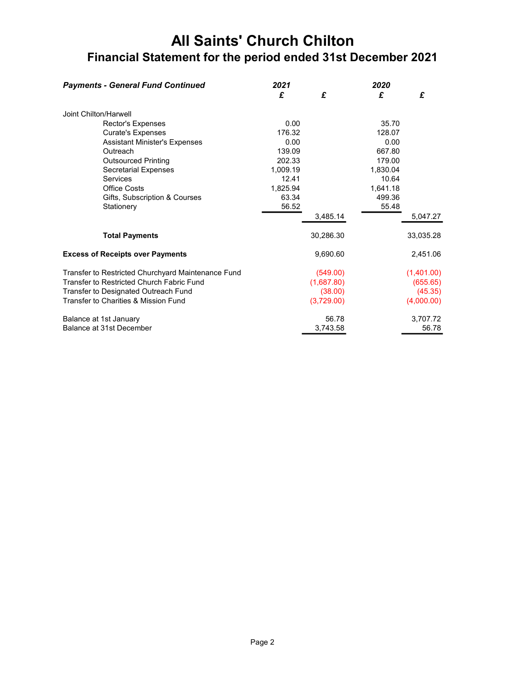| <b>Payments - General Fund Continued</b>           | 2021     |            | 2020     |            |
|----------------------------------------------------|----------|------------|----------|------------|
|                                                    | £        | £          | £        | £          |
| Joint Chilton/Harwell                              |          |            |          |            |
| Rector's Expenses                                  | 0.00     |            | 35.70    |            |
| <b>Curate's Expenses</b>                           | 176.32   |            | 128.07   |            |
| <b>Assistant Minister's Expenses</b>               | 0.00     |            | 0.00     |            |
| Outreach                                           | 139.09   |            | 667.80   |            |
| <b>Outsourced Printing</b>                         | 202.33   |            | 179.00   |            |
| <b>Secretarial Expenses</b>                        | 1.009.19 |            | 1.830.04 |            |
| Services                                           | 12.41    |            | 10.64    |            |
| <b>Office Costs</b>                                | 1,825.94 |            | 1,641.18 |            |
| Gifts, Subscription & Courses                      | 63.34    |            | 499.36   |            |
| Stationery                                         | 56.52    |            | 55.48    |            |
|                                                    |          | 3.485.14   |          | 5,047.27   |
| <b>Total Payments</b>                              |          | 30,286.30  |          | 33,035.28  |
| <b>Excess of Receipts over Payments</b>            |          | 9,690.60   |          | 2,451.06   |
| Transfer to Restricted Churchyard Maintenance Fund |          | (549.00)   |          | (1,401.00) |
| Transfer to Restricted Church Fabric Fund          |          | (1,687.80) |          | (655.65)   |
| Transfer to Designated Outreach Fund               |          | (38.00)    |          | (45.35)    |
| Transfer to Charities & Mission Fund               |          | (3,729.00) |          | (4,000.00) |
| Balance at 1st January                             |          | 56.78      |          | 3,707.72   |
| Balance at 31st December                           |          | 3,743.58   |          | 56.78      |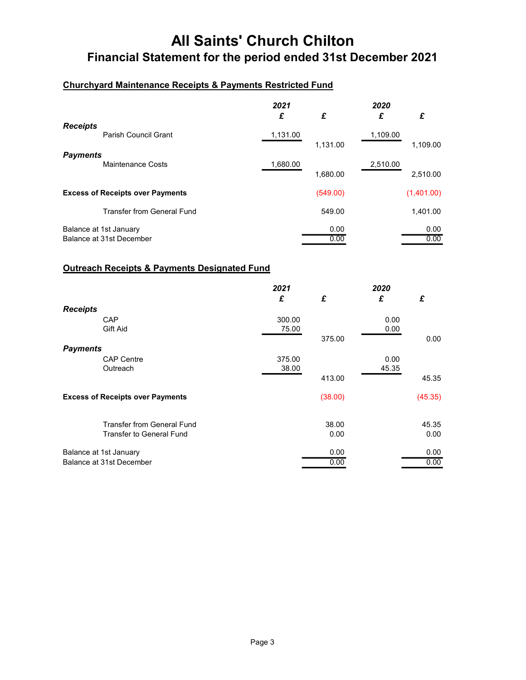### Churchyard Maintenance Receipts & Payments Restricted Fund

|                                                    | 2021<br>£ | £            | 2020<br>£ | £            |
|----------------------------------------------------|-----------|--------------|-----------|--------------|
| <b>Receipts</b><br>Parish Council Grant            | 1,131.00  | 1,131.00     | 1,109.00  | 1,109.00     |
| <b>Payments</b><br>Maintenance Costs               | 1,680.00  | 1,680.00     | 2,510.00  | 2,510.00     |
| <b>Excess of Receipts over Payments</b>            |           | (549.00)     |           | (1,401.00)   |
| <b>Transfer from General Fund</b>                  |           | 549.00       |           | 1,401.00     |
| Balance at 1st January<br>Balance at 31st December |           | 0.00<br>0.00 |           | 0.00<br>0.00 |

#### Outreach Receipts & Payments Designated Fund

|                 |                                         | 2021   |         | 2020  |         |
|-----------------|-----------------------------------------|--------|---------|-------|---------|
|                 |                                         | £      | £       | £     | £       |
| <b>Receipts</b> |                                         |        |         |       |         |
|                 | CAP                                     | 300.00 |         | 0.00  |         |
|                 | Gift Aid                                | 75.00  |         | 0.00  |         |
|                 |                                         |        | 375.00  |       | 0.00    |
| <b>Payments</b> |                                         |        |         |       |         |
|                 | <b>CAP Centre</b>                       | 375.00 |         | 0.00  |         |
|                 | Outreach                                | 38.00  |         | 45.35 |         |
|                 |                                         |        | 413.00  |       | 45.35   |
|                 | <b>Excess of Receipts over Payments</b> |        | (38.00) |       | (45.35) |
|                 | <b>Transfer from General Fund</b>       |        | 38.00   |       | 45.35   |
|                 | <b>Transfer to General Fund</b>         |        | 0.00    |       | 0.00    |
|                 | Balance at 1st January                  |        | 0.00    |       | 0.00    |
|                 | Balance at 31st December                |        | 0.00    |       | 0.00    |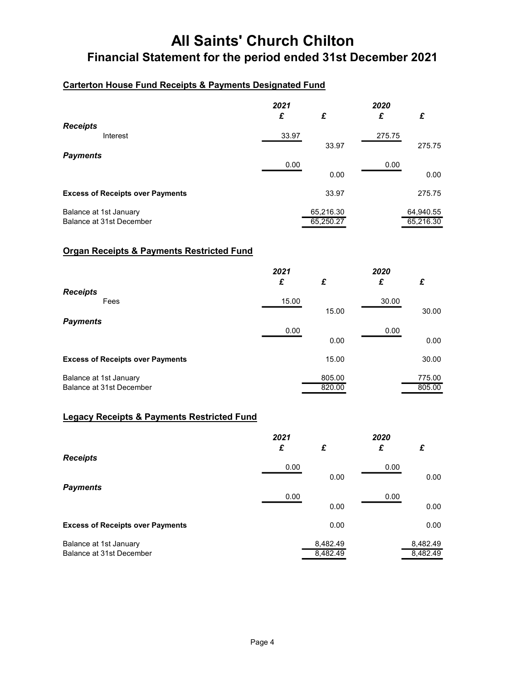### Carterton House Fund Receipts & Payments Designated Fund

|                                                    | 2021<br>£ | £                      | 2020<br>£ | £                      |
|----------------------------------------------------|-----------|------------------------|-----------|------------------------|
| <b>Receipts</b><br>Interest                        | 33.97     | 33.97                  | 275.75    | 275.75                 |
| <b>Payments</b>                                    | 0.00      | 0.00                   | 0.00      | 0.00                   |
| <b>Excess of Receipts over Payments</b>            |           | 33.97                  |           | 275.75                 |
| Balance at 1st January<br>Balance at 31st December |           | 65,216.30<br>65,250.27 |           | 64,940.55<br>65,216.30 |

### Organ Receipts & Payments Restricted Fund

|                                         | 2021  |        | 2020  |        |
|-----------------------------------------|-------|--------|-------|--------|
|                                         | £     | £      | £     | £      |
| <b>Receipts</b><br>Fees                 | 15.00 |        | 30.00 |        |
|                                         |       | 15.00  |       | 30.00  |
| <b>Payments</b>                         | 0.00  |        | 0.00  |        |
|                                         |       | 0.00   |       | 0.00   |
| <b>Excess of Receipts over Payments</b> |       | 15.00  |       | 30.00  |
| Balance at 1st January                  |       | 805.00 |       | 775.00 |
| Balance at 31st December                |       | 820.00 |       | 805.00 |

### Legacy Receipts & Payments Restricted Fund

|                                         | 2021<br>£ | £        | 2020<br>£ | £        |
|-----------------------------------------|-----------|----------|-----------|----------|
| <b>Receipts</b>                         | 0.00      |          | 0.00      |          |
| <b>Payments</b>                         |           | 0.00     |           | 0.00     |
|                                         | 0.00      | 0.00     | 0.00      | 0.00     |
|                                         |           |          |           |          |
| <b>Excess of Receipts over Payments</b> |           | 0.00     |           | 0.00     |
| Balance at 1st January                  |           | 8,482.49 |           | 8,482.49 |
| Balance at 31st December                |           | 8,482.49 |           | 8,482.49 |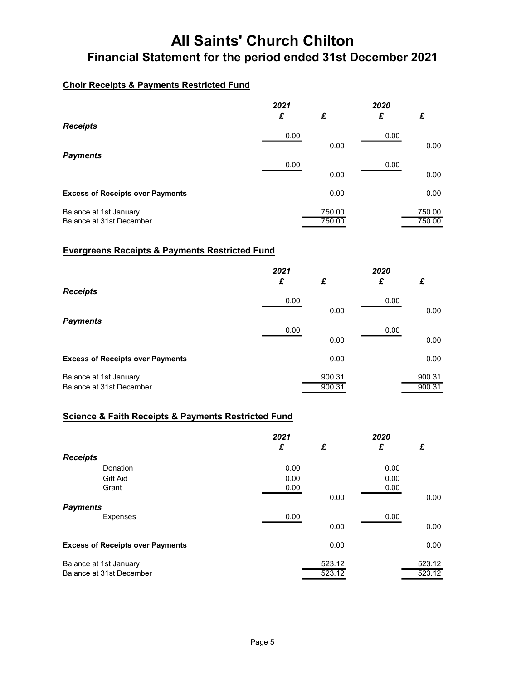## Choir Receipts & Payments Restricted Fund

|                                         | 2021<br>£ | £      | 2020<br>£ | £      |
|-----------------------------------------|-----------|--------|-----------|--------|
| <b>Receipts</b>                         |           |        |           |        |
|                                         | 0.00      | 0.00   | 0.00      | 0.00   |
| <b>Payments</b>                         | 0.00      |        | 0.00      |        |
|                                         |           | 0.00   |           | 0.00   |
| <b>Excess of Receipts over Payments</b> |           | 0.00   |           | 0.00   |
| Balance at 1st January                  |           | 750.00 |           | 750.00 |
| Balance at 31st December                |           | 750.00 |           | 750.00 |

### Evergreens Receipts & Payments Restricted Fund

|                                         | 2021<br>£ | £      | 2020<br>£ | £      |
|-----------------------------------------|-----------|--------|-----------|--------|
| <b>Receipts</b>                         | 0.00      |        | 0.00      |        |
| <b>Payments</b>                         |           | 0.00   |           | 0.00   |
|                                         | 0.00      | 0.00   | 0.00      | 0.00   |
|                                         |           |        |           |        |
| <b>Excess of Receipts over Payments</b> |           | 0.00   |           | 0.00   |
| Balance at 1st January                  |           | 900.31 |           | 900.31 |
| Balance at 31st December                |           | 900.31 |           | 900.31 |

### Science & Faith Receipts & Payments Restricted Fund

|                        |                                         | 2021 |        | 2020 |        |
|------------------------|-----------------------------------------|------|--------|------|--------|
|                        |                                         | £    | £      | £    | £      |
| <b>Receipts</b>        |                                         |      |        |      |        |
|                        | Donation                                | 0.00 |        | 0.00 |        |
|                        | Gift Aid                                | 0.00 |        | 0.00 |        |
|                        | Grant                                   | 0.00 |        | 0.00 |        |
|                        |                                         |      | 0.00   |      | 0.00   |
| <b>Payments</b>        |                                         |      |        |      |        |
|                        | <b>Expenses</b>                         | 0.00 |        | 0.00 |        |
|                        |                                         |      | 0.00   |      | 0.00   |
|                        | <b>Excess of Receipts over Payments</b> |      | 0.00   |      | 0.00   |
| Balance at 1st January |                                         |      | 523.12 |      | 523.12 |
|                        | Balance at 31st December                |      | 523.12 |      | 523.12 |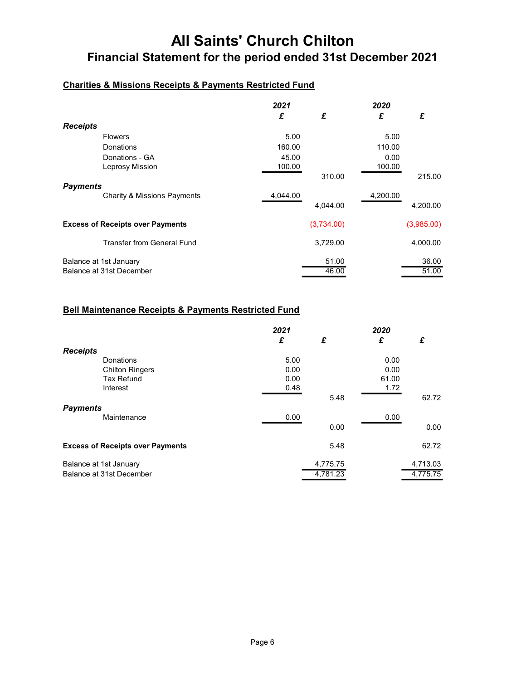### Charities & Missions Receipts & Payments Restricted Fund

|                        |                                         | 2021     |            | 2020     |            |
|------------------------|-----------------------------------------|----------|------------|----------|------------|
|                        |                                         | £        | £          | £        | £          |
| <b>Receipts</b>        |                                         |          |            |          |            |
|                        | <b>Flowers</b>                          | 5.00     |            | 5.00     |            |
|                        | Donations                               | 160.00   |            | 110.00   |            |
|                        | Donations - GA                          | 45.00    |            | 0.00     |            |
|                        | Leprosy Mission                         | 100.00   |            | 100.00   |            |
|                        |                                         |          | 310.00     |          | 215.00     |
| <b>Payments</b>        |                                         |          |            |          |            |
|                        | <b>Charity &amp; Missions Payments</b>  | 4,044.00 |            | 4,200.00 |            |
|                        |                                         |          | 4.044.00   |          | 4.200.00   |
|                        | <b>Excess of Receipts over Payments</b> |          | (3,734.00) |          | (3,985.00) |
|                        | <b>Transfer from General Fund</b>       |          | 3,729.00   |          | 4,000.00   |
| Balance at 1st January |                                         |          | 51.00      |          | 36.00      |
|                        | Balance at 31st December                |          | 46.00      |          | 51.00      |

### Bell Maintenance Receipts & Payments Restricted Fund

|                        |                                         | 2021 |          | 2020  |          |
|------------------------|-----------------------------------------|------|----------|-------|----------|
|                        |                                         | £    | £        | £     | £        |
| <b>Receipts</b>        |                                         |      |          |       |          |
|                        | Donations                               | 5.00 |          | 0.00  |          |
|                        | <b>Chilton Ringers</b>                  | 0.00 |          | 0.00  |          |
|                        | <b>Tax Refund</b>                       | 0.00 |          | 61.00 |          |
|                        | Interest                                | 0.48 |          | 1.72  |          |
|                        |                                         |      | 5.48     |       | 62.72    |
| <b>Payments</b>        |                                         |      |          |       |          |
|                        | Maintenance                             | 0.00 |          | 0.00  |          |
|                        |                                         |      | 0.00     |       | 0.00     |
|                        | <b>Excess of Receipts over Payments</b> |      | 5.48     |       | 62.72    |
| Balance at 1st January |                                         |      | 4,775.75 |       | 4,713.03 |
|                        | Balance at 31st December                |      | 4,781.23 |       | 4,775.75 |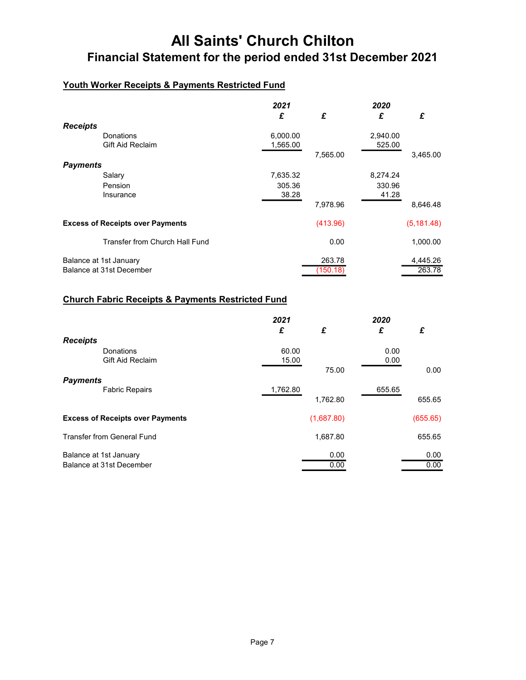## Youth Worker Receipts & Payments Restricted Fund

|                        |                                         | 2021     |          | 2020     |             |
|------------------------|-----------------------------------------|----------|----------|----------|-------------|
|                        |                                         | £        | £        | £        | £           |
| <b>Receipts</b>        |                                         |          |          |          |             |
|                        | Donations                               | 6,000.00 |          | 2,940.00 |             |
|                        | <b>Gift Aid Reclaim</b>                 | 1,565.00 |          | 525.00   |             |
|                        |                                         |          | 7,565.00 |          | 3,465.00    |
| <b>Payments</b>        |                                         |          |          |          |             |
|                        | Salary                                  | 7,635.32 |          | 8,274.24 |             |
|                        | Pension                                 | 305.36   |          | 330.96   |             |
|                        | Insurance                               | 38.28    |          | 41.28    |             |
|                        |                                         |          | 7,978.96 |          | 8,646.48    |
|                        | <b>Excess of Receipts over Payments</b> |          | (413.96) |          | (5, 181.48) |
|                        | Transfer from Church Hall Fund          |          | 0.00     |          | 1,000.00    |
| Balance at 1st January |                                         |          | 263.78   |          | 4,445.26    |
|                        | Balance at 31st December                |          | (150.18) |          | 263.78      |

## Church Fabric Receipts & Payments Restricted Fund

|                        |                                         | 2021<br>£ | £            | 2020<br>£ | £            |
|------------------------|-----------------------------------------|-----------|--------------|-----------|--------------|
| <b>Receipts</b>        |                                         |           |              |           |              |
|                        | Donations                               | 60.00     |              | 0.00      |              |
|                        | <b>Gift Aid Reclaim</b>                 | 15.00     |              | 0.00      |              |
|                        |                                         |           | 75.00        |           | 0.00         |
| <b>Payments</b>        | <b>Fabric Repairs</b>                   | 1,762.80  |              | 655.65    |              |
|                        |                                         |           | 1,762.80     |           | 655.65       |
|                        | <b>Excess of Receipts over Payments</b> |           | (1,687.80)   |           | (655.65)     |
|                        | <b>Transfer from General Fund</b>       |           | 1,687.80     |           | 655.65       |
| Balance at 1st January | Balance at 31st December                |           | 0.00<br>0.00 |           | 0.00<br>0.00 |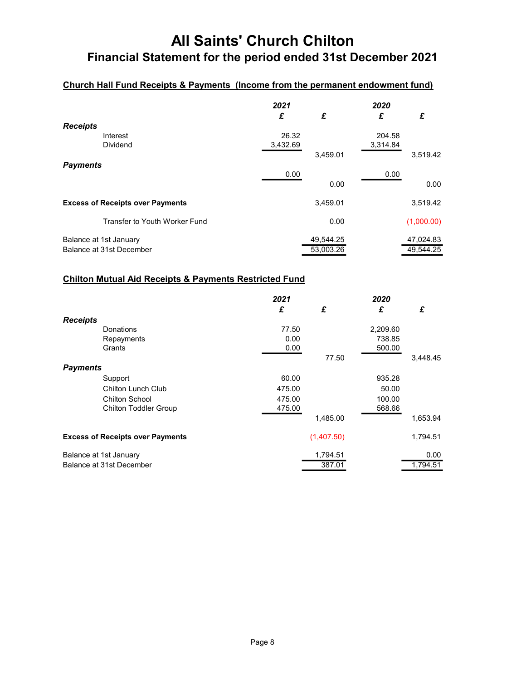## Church Hall Fund Receipts & Payments (Income from the permanent endowment fund)

|                 |                                                    | 2021<br>£         | £                      | 2020<br>£          | £                      |
|-----------------|----------------------------------------------------|-------------------|------------------------|--------------------|------------------------|
| <b>Receipts</b> | Interest<br><b>Dividend</b>                        | 26.32<br>3,432.69 | 3,459.01               | 204.58<br>3,314.84 | 3,519.42               |
| <b>Payments</b> |                                                    | 0.00              | 0.00                   | 0.00               | 0.00                   |
|                 | <b>Excess of Receipts over Payments</b>            |                   | 3,459.01               |                    | 3,519.42               |
|                 | Transfer to Youth Worker Fund                      |                   | 0.00                   |                    | (1,000.00)             |
|                 | Balance at 1st January<br>Balance at 31st December |                   | 49,544.25<br>53,003.26 |                    | 47,024.83<br>49,544.25 |

### Chilton Mutual Aid Receipts & Payments Restricted Fund

|                 |                                         | 2021   |            | 2020     |          |
|-----------------|-----------------------------------------|--------|------------|----------|----------|
|                 |                                         | £      | £          | £        | £        |
| <b>Receipts</b> |                                         |        |            |          |          |
|                 | Donations                               | 77.50  |            | 2,209.60 |          |
|                 | Repayments                              | 0.00   |            | 738.85   |          |
|                 | Grants                                  | 0.00   |            | 500.00   |          |
|                 |                                         |        | 77.50      |          | 3,448.45 |
| <b>Payments</b> |                                         |        |            |          |          |
|                 | Support                                 | 60.00  |            | 935.28   |          |
|                 | <b>Chilton Lunch Club</b>               | 475.00 |            | 50.00    |          |
|                 | <b>Chilton School</b>                   | 475.00 |            | 100.00   |          |
|                 | <b>Chilton Toddler Group</b>            | 475.00 |            | 568.66   |          |
|                 |                                         |        | 1,485.00   |          | 1,653.94 |
|                 | <b>Excess of Receipts over Payments</b> |        | (1,407.50) |          | 1,794.51 |
|                 | Balance at 1st January                  |        | 1,794.51   |          | 0.00     |
|                 | Balance at 31st December                |        | 387.01     |          | 1,794.51 |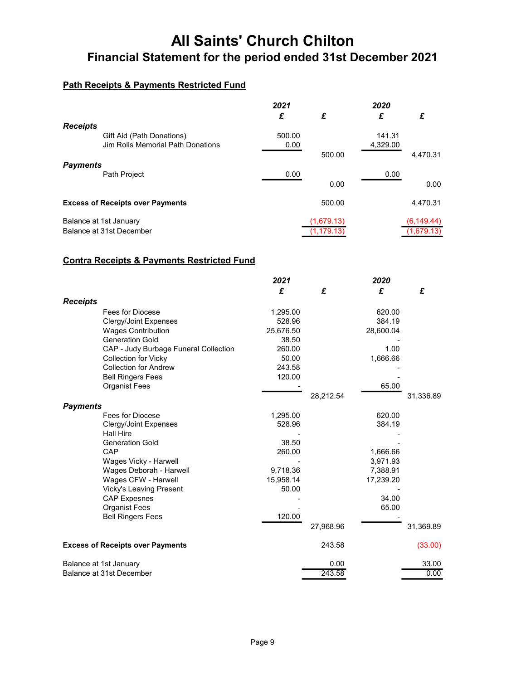## Path Receipts & Payments Restricted Fund

|                 |                                         | 2021   |            | 2020     |             |
|-----------------|-----------------------------------------|--------|------------|----------|-------------|
|                 |                                         | £      | £          | £        | £           |
| <b>Receipts</b> |                                         |        |            |          |             |
|                 | Gift Aid (Path Donations)               | 500.00 |            | 141.31   |             |
|                 | Jim Rolls Memorial Path Donations       | 0.00   |            | 4,329.00 |             |
|                 |                                         |        | 500.00     |          | 4,470.31    |
| <b>Payments</b> |                                         |        |            |          |             |
|                 | Path Project                            | 0.00   |            | 0.00     |             |
|                 |                                         |        | 0.00       |          | 0.00        |
|                 | <b>Excess of Receipts over Payments</b> |        | 500.00     |          | 4,470.31    |
|                 | Balance at 1st January                  |        | (1,679.13) |          | (6, 149.44) |
|                 | Balance at 31st December                |        | (1.179.13  |          | (1,679.13)  |

### Contra Receipts & Payments Restricted Fund

|                          |                                         | 2021      |           | 2020      |           |
|--------------------------|-----------------------------------------|-----------|-----------|-----------|-----------|
|                          |                                         | £         | £         | £         | £         |
| <b>Receipts</b>          |                                         |           |           |           |           |
|                          | Fees for Diocese                        | 1,295.00  |           | 620.00    |           |
|                          | Clergy/Joint Expenses                   | 528.96    |           | 384.19    |           |
|                          | <b>Wages Contribution</b>               | 25,676.50 |           | 28,600.04 |           |
|                          | <b>Generation Gold</b>                  | 38.50     |           |           |           |
|                          | CAP - Judy Burbage Funeral Collection   | 260.00    |           | 1.00      |           |
|                          | <b>Collection for Vicky</b>             | 50.00     |           | 1,666.66  |           |
|                          | <b>Collection for Andrew</b>            | 243.58    |           |           |           |
|                          | <b>Bell Ringers Fees</b>                | 120.00    |           |           |           |
|                          | <b>Organist Fees</b>                    |           |           | 65.00     |           |
|                          |                                         |           | 28,212.54 |           | 31,336.89 |
| <b>Payments</b>          |                                         |           |           |           |           |
|                          | Fees for Diocese                        | 1,295.00  |           | 620.00    |           |
|                          | <b>Clergy/Joint Expenses</b>            | 528.96    |           | 384.19    |           |
|                          | <b>Hall Hire</b>                        |           |           |           |           |
|                          | <b>Generation Gold</b>                  | 38.50     |           |           |           |
|                          | CAP                                     | 260.00    |           | 1,666.66  |           |
|                          | Wages Vicky - Harwell                   |           |           | 3,971.93  |           |
|                          | Wages Deborah - Harwell                 | 9,718.36  |           | 7,388.91  |           |
|                          | Wages CFW - Harwell                     | 15,958.14 |           | 17,239.20 |           |
|                          | <b>Vicky's Leaving Present</b>          | 50.00     |           |           |           |
|                          | <b>CAP Expesnes</b>                     |           |           | 34.00     |           |
|                          | <b>Organist Fees</b>                    |           |           | 65.00     |           |
|                          | <b>Bell Ringers Fees</b>                | 120.00    |           |           |           |
|                          |                                         |           | 27,968.96 |           | 31,369.89 |
|                          | <b>Excess of Receipts over Payments</b> |           | 243.58    |           | (33.00)   |
|                          | Balance at 1st January                  |           | 0.00      |           | 33.00     |
| Balance at 31st December |                                         |           | 243.58    |           | 0.00      |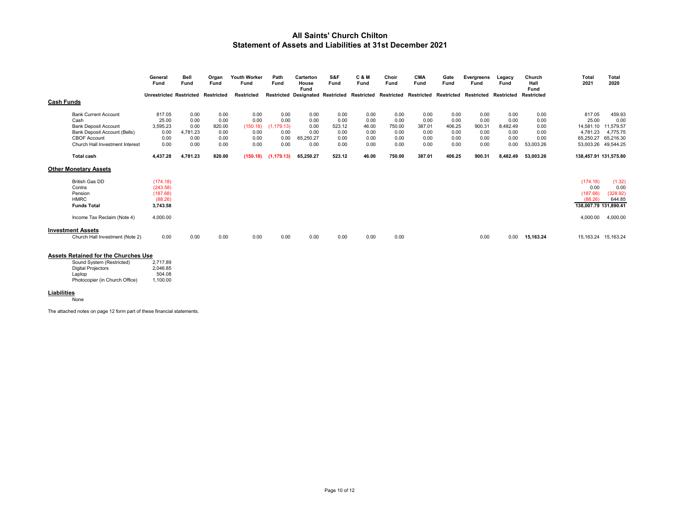#### All Saints' Church Chilton Statement of Assets and Liabilities at 31st December 2021

|                   |                                 | General<br>Fund                | Bell<br>Fund | Organ<br>Fund | Youth Worker<br>Fund | Path<br>Fund | Carterton<br>House<br>Fund              | S&F<br>Fund | <b>C&amp;M</b><br>Fund | Choir<br>Fund | <b>CMA</b><br>Fund | Gate<br>Fund | Evergreens<br>Fund | Legacy<br>Fund | Church<br>Hall<br>Fund | Total<br>2021         | <b>Total</b><br>2020 |
|-------------------|---------------------------------|--------------------------------|--------------|---------------|----------------------|--------------|-----------------------------------------|-------------|------------------------|---------------|--------------------|--------------|--------------------|----------------|------------------------|-----------------------|----------------------|
|                   |                                 | <b>Unrestricted Restricted</b> |              | Restricted    | <b>Restricted</b>    |              | <b>Restricted Designated Restricted</b> |             | Restricted             | Restricted    | Restricted         | Restricted   | Restricted         | Restricted     | <b>Restricted</b>      |                       |                      |
| <b>Cash Funds</b> |                                 |                                |              |               |                      |              |                                         |             |                        |               |                    |              |                    |                |                        |                       |                      |
|                   | <b>Bank Current Account</b>     | 817.05                         | 0.00         | 0.00          | 0.00                 | 0.00         | 0.00                                    | 0.00        | 0.00                   | 0.00          | 0.00               | 0.00         | 0.00               | 0.00           | 0.00                   | 817.05                | 459.93               |
|                   | Cash                            | 25.00                          | 0.00         | 0.00          | 0.00                 | 0.00         | 0.00                                    | 0.00        | 0.00                   | 0.00          | 0.00               | 0.00         | 0.00               | 0.00           | 0.00                   | 25.00                 | 0.00                 |
|                   | <b>Bank Deposit Account</b>     | 3,595.23                       | 0.00         | 820.00        | (150.18)             | (1, 179.13)  | 0.00                                    | 523.12      | 46.00                  | 750.00        | 387.01             | 406.25       | 900.31             | 8,482.49       | 0.00                   | 14,581.10             | 11,579.57            |
|                   | Bank Deposit Account (Bells)    | 0.00                           | 4,781.23     | 0.00          | 0.00                 | 0.00         | 0.00                                    | 0.00        | 0.00                   | 0.00          | 0.00               | 0.00         | 0.00               | 0.00           | 0.00                   | 4,781.23              | 4,775.75             |
|                   | <b>CBOF Account</b>             | 0.00                           | 0.00         | 0.00          | 0.00                 | 0.00         | 65,250.27                               | 0.00        | 0.00                   | 0.00          | 0.00               | 0.00         | 0.00               | 0.00           | 0.00                   | 65,250.27             | 65.216.30            |
|                   | Church Hall Investment Interest | 0.00                           | 0.00         | 0.00          | 0.00                 | 0.00         | 0.00                                    | 0.00        | 0.00                   | 0.00          | 0.00               | 0.00         | 0.00               | 0.00           | 53,003.26              | 53,003.26             | 49,544.25            |
|                   | <b>Total cash</b>               | 4,437.28                       | 4,781.23     | 820.00        | (150.18)             | (1, 179.13)  | 65,250.27                               | 523.12      | 46.00                  | 750.00        | 387.01             | 406.25       | 900.31             | 8,482.49       | 53,003.26              | 138,457.91 131,575.80 |                      |
|                   | <b>Other Monetary Assets</b>    |                                |              |               |                      |              |                                         |             |                        |               |                    |              |                    |                |                        |                       |                      |
|                   | <b>British Gas DD</b>           | (174.18)                       |              |               |                      |              |                                         |             |                        |               |                    |              |                    |                |                        | (174.18)              | (1.32)               |
|                   | Contra                          | (243.58)                       |              |               |                      |              |                                         |             |                        |               |                    |              |                    |                |                        | 0.00                  | 0.00                 |
|                   | Pension                         | (187.68)                       |              |               |                      |              |                                         |             |                        |               |                    |              |                    |                |                        | (187.68)              | (328.92)             |
|                   | <b>HMRC</b>                     | (88.26)                        |              |               |                      |              |                                         |             |                        |               |                    |              |                    |                |                        | (88.26)               | 644.85               |
|                   | <b>Funds Total</b>              | 3,743.58                       |              |               |                      |              |                                         |             |                        |               |                    |              |                    |                |                        | 138,007.79 131,890.41 |                      |
|                   | Income Tax Reclaim (Note 4)     | 4,000.00                       |              |               |                      |              |                                         |             |                        |               |                    |              |                    |                |                        | 4,000.00              | 4,000.00             |
|                   | <b>Investment Assets</b>        |                                |              |               |                      |              |                                         |             |                        |               |                    |              |                    |                |                        |                       |                      |
|                   | Church Hall Investment (Note 2) | 0.00                           | 0.00         | 0.00          | 0.00                 | 0.00         | 0.00                                    | 0.00        | 0.00                   | 0.00          |                    |              | 0.00               | 0.00           | 15,163.24              | 15,163.24             | 15,163.24            |

#### Assets Retained for the Churches Use

| Sound System (Restricted)      | 2.717.89 |
|--------------------------------|----------|
| <b>Digital Projectors</b>      | 2.046.85 |
| Laptop                         | 504.08   |
| Photocopier (in Church Office) | 1.100.00 |

#### **Liabilities**

None

The attached notes on page 12 form part of these financial statements.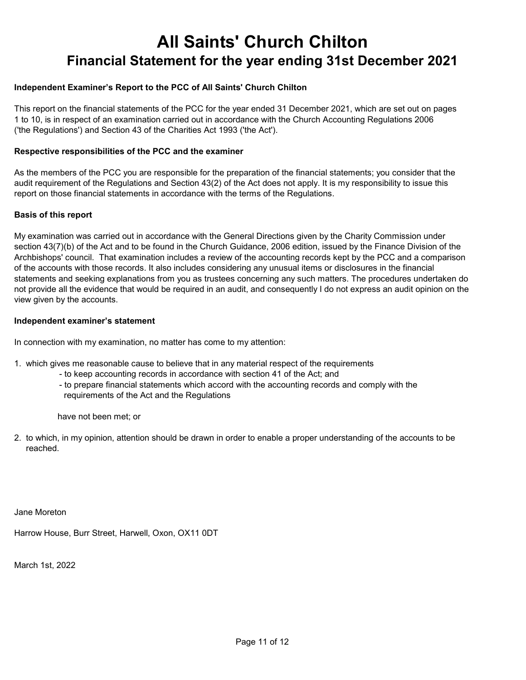### Independent Examiner's Report to the PCC of All Saints' Church Chilton

This report on the financial statements of the PCC for the year ended 31 December 2021, which are set out on pages 1 to 10, is in respect of an examination carried out in accordance with the Church Accounting Regulations 2006 ('the Regulations') and Section 43 of the Charities Act 1993 ('the Act').

#### Respective responsibilities of the PCC and the examiner

As the members of the PCC you are responsible for the preparation of the financial statements; you consider that the audit requirement of the Regulations and Section 43(2) of the Act does not apply. It is my responsibility to issue this report on those financial statements in accordance with the terms of the Regulations.

#### Basis of this report

My examination was carried out in accordance with the General Directions given by the Charity Commission under section 43(7)(b) of the Act and to be found in the Church Guidance, 2006 edition, issued by the Finance Division of the Archbishops' council. That examination includes a review of the accounting records kept by the PCC and a comparison of the accounts with those records. It also includes considering any unusual items or disclosures in the financial statements and seeking explanations from you as trustees concerning any such matters. The procedures undertaken do not provide all the evidence that would be required in an audit, and consequently I do not express an audit opinion on the view given by the accounts.

#### Independent examiner's statement

In connection with my examination, no matter has come to my attention:

- 1. which gives me reasonable cause to believe that in any material respect of the requirements
	- to keep accounting records in accordance with section 41 of the Act; and
	- to prepare financial statements which accord with the accounting records and comply with the requirements of the Act and the Regulations

have not been met; or

2. to which, in my opinion, attention should be drawn in order to enable a proper understanding of the accounts to be reached.

Jane Moreton

Harrow House, Burr Street, Harwell, Oxon, OX11 0DT

March 1st, 2022